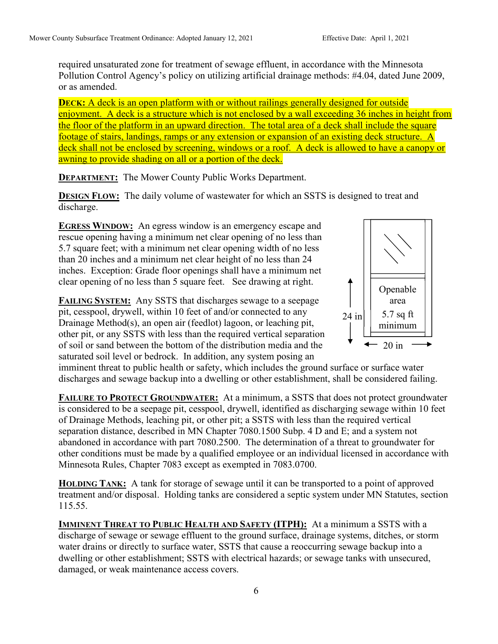required unsaturated zone for treatment of sewage effluent, in accordance with the Minnesota Pollution Control Agency's policy on utilizing artificial drainage methods: #4.04, dated June 2009, or as amended.

**DECK:** A deck is an open platform with or without railings generally designed for outside enjoyment. A deck is a structure which is not enclosed by a wall exceeding 36 inches in height from the floor of the platform in an upward direction. The total area of a deck shall include the square footage of stairs, landings, ramps or any extension or expansion of an existing deck structure. A deck shall not be enclosed by screening, windows or a roof. A deck is allowed to have a canopy or awning to provide shading on all or a portion of the deck.

**DEPARTMENT:** The Mower County Public Works Department.

**DESIGN FLOW:** The daily volume of wastewater for which an SSTS is designed to treat and discharge.

EGRESS WINDOW: An egress window is an emergency escape and rescue opening having a minimum net clear opening of no less than 5.7 square feet; with a minimum net clear opening width of no less than 20 inches and a minimum net clear height of no less than 24 inches. Exception: Grade floor openings shall have a minimum net clear opening of no less than 5 square feet. See drawing at right.



FAILING SYSTEM: Any SSTS that discharges sewage to a seepage pit, cesspool, drywell, within 10 feet of and/or connected to any Drainage Method(s), an open air (feedlot) lagoon, or leaching pit, other pit, or any SSTS with less than the required vertical separation of soil or sand between the bottom of the distribution media and the saturated soil level or bedrock. In addition, any system posing an

imminent threat to public health or safety, which includes the ground surface or surface water discharges and sewage backup into a dwelling or other establishment, shall be considered failing.

FAILURE TO PROTECT GROUNDWATER: At a minimum, a SSTS that does not protect groundwater is considered to be a seepage pit, cesspool, drywell, identified as discharging sewage within 10 feet of Drainage Methods, leaching pit, or other pit; a SSTS with less than the required vertical separation distance, described in MN Chapter 7080.1500 Subp. 4 D and E; and a system not abandoned in accordance with part 7080.2500. The determination of a threat to groundwater for other conditions must be made by a qualified employee or an individual licensed in accordance with Minnesota Rules, Chapter 7083 except as exempted in 7083.0700.

HOLDING TANK: A tank for storage of sewage until it can be transported to a point of approved treatment and/or disposal. Holding tanks are considered a septic system under MN Statutes, section 115.55.

IMMINENT THREAT TO PUBLIC HEALTH AND SAFETY (ITPH): At a minimum a SSTS with a discharge of sewage or sewage effluent to the ground surface, drainage systems, ditches, or storm water drains or directly to surface water, SSTS that cause a reoccurring sewage backup into a dwelling or other establishment; SSTS with electrical hazards; or sewage tanks with unsecured, damaged, or weak maintenance access covers.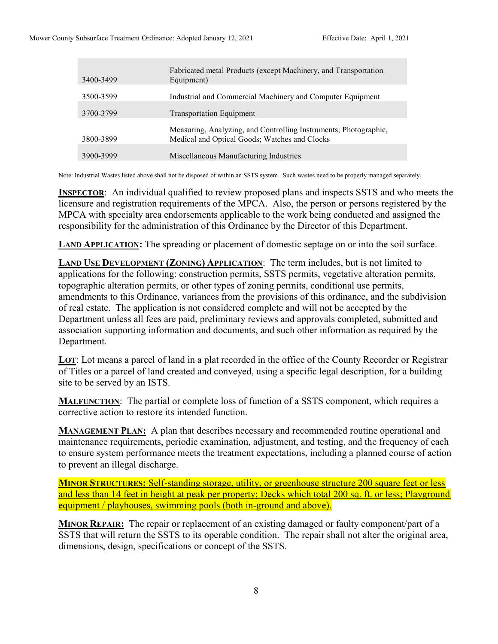| 3400-3499 | Fabricated metal Products (except Machinery, and Transportation<br>Equipment)                                     |
|-----------|-------------------------------------------------------------------------------------------------------------------|
| 3500-3599 | Industrial and Commercial Machinery and Computer Equipment                                                        |
| 3700-3799 | <b>Transportation Equipment</b>                                                                                   |
| 3800-3899 | Measuring, Analyzing, and Controlling Instruments; Photographic,<br>Medical and Optical Goods; Watches and Clocks |
| 3900-3999 | Miscellaneous Manufacturing Industries                                                                            |

Note: Industrial Wastes listed above shall not be disposed of within an SSTS system. Such wastes need to be properly managed separately.

INSPECTOR: An individual qualified to review proposed plans and inspects SSTS and who meets the licensure and registration requirements of the MPCA. Also, the person or persons registered by the MPCA with specialty area endorsements applicable to the work being conducted and assigned the responsibility for the administration of this Ordinance by the Director of this Department.

LAND APPLICATION: The spreading or placement of domestic septage on or into the soil surface.

LAND USE DEVELOPMENT (ZONING) APPLICATION: The term includes, but is not limited to applications for the following: construction permits, SSTS permits, vegetative alteration permits, topographic alteration permits, or other types of zoning permits, conditional use permits, amendments to this Ordinance, variances from the provisions of this ordinance, and the subdivision of real estate. The application is not considered complete and will not be accepted by the Department unless all fees are paid, preliminary reviews and approvals completed, submitted and association supporting information and documents, and such other information as required by the Department.

LOT: Lot means a parcel of land in a plat recorded in the office of the County Recorder or Registrar of Titles or a parcel of land created and conveyed, using a specific legal description, for a building site to be served by an ISTS.

MALFUNCTION: The partial or complete loss of function of a SSTS component, which requires a corrective action to restore its intended function.

**MANAGEMENT PLAN:** A plan that describes necessary and recommended routine operational and maintenance requirements, periodic examination, adjustment, and testing, and the frequency of each to ensure system performance meets the treatment expectations, including a planned course of action to prevent an illegal discharge.

MINOR STRUCTURES: Self-standing storage, utility, or greenhouse structure 200 square feet or less and less than 14 feet in height at peak per property; Decks which total 200 sq. ft. or less; Playground equipment / playhouses, swimming pools (both in-ground and above).

MINOR REPAIR: The repair or replacement of an existing damaged or faulty component/part of a SSTS that will return the SSTS to its operable condition. The repair shall not alter the original area, dimensions, design, specifications or concept of the SSTS.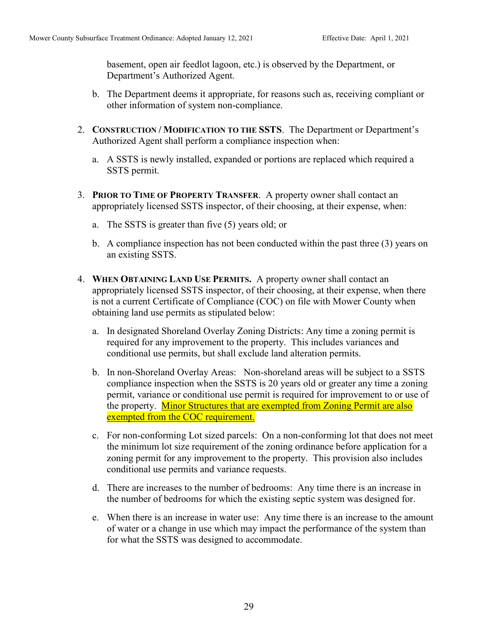basement, open air feedlot lagoon, etc.) is observed by the Department, or Department's Authorized Agent.

- b. The Department deems it appropriate, for reasons such as, receiving compliant or other information of system non-compliance.
- 2. CONSTRUCTION / MODIFICATION TO THE SSTS. The Department or Department's Authorized Agent shall perform a compliance inspection when:
	- a. A SSTS is newly installed, expanded or portions are replaced which required a SSTS permit.
- 3. PRIOR TO TIME OF PROPERTY TRANSFER. A property owner shall contact an appropriately licensed SSTS inspector, of their choosing, at their expense, when:
	- a. The SSTS is greater than five (5) years old; or
	- b. A compliance inspection has not been conducted within the past three (3) years on an existing SSTS.
- 4. WHEN OBTAINING LAND USE PERMITS. A property owner shall contact an appropriately licensed SSTS inspector, of their choosing, at their expense, when there is not a current Certificate of Compliance (COC) on file with Mower County when obtaining land use permits as stipulated below:
	- a. In designated Shoreland Overlay Zoning Districts: Any time a zoning permit is required for any improvement to the property. This includes variances and conditional use permits, but shall exclude land alteration permits.
	- b. In non-Shoreland Overlay Areas: Non-shoreland areas will be subject to a SSTS compliance inspection when the SSTS is 20 years old or greater any time a zoning permit, variance or conditional use permit is required for improvement to or use of the property. **Minor Structures that are exempted from Zoning Permit are also** exempted from the COC requirement.
	- c. For non-conforming Lot sized parcels: On a non-conforming lot that does not meet the minimum lot size requirement of the zoning ordinance before application for a zoning permit for any improvement to the property. This provision also includes conditional use permits and variance requests.
	- d. There are increases to the number of bedrooms: Any time there is an increase in the number of bedrooms for which the existing septic system was designed for.
	- e. When there is an increase in water use: Any time there is an increase to the amount of water or a change in use which may impact the performance of the system than for what the SSTS was designed to accommodate.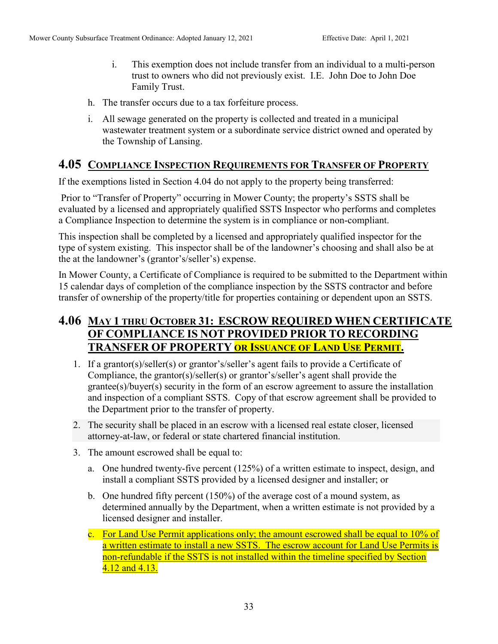- i. This exemption does not include transfer from an individual to a multi-person trust to owners who did not previously exist. I.E. John Doe to John Doe Family Trust.
- h. The transfer occurs due to a tax forfeiture process.
- i. All sewage generated on the property is collected and treated in a municipal wastewater treatment system or a subordinate service district owned and operated by the Township of Lansing.

## 4.05 COMPLIANCE INSPECTION REQUIREMENTS FOR TRANSFER OF PROPERTY

If the exemptions listed in Section 4.04 do not apply to the property being transferred:

 Prior to "Transfer of Property" occurring in Mower County; the property's SSTS shall be evaluated by a licensed and appropriately qualified SSTS Inspector who performs and completes a Compliance Inspection to determine the system is in compliance or non-compliant.

This inspection shall be completed by a licensed and appropriately qualified inspector for the type of system existing. This inspector shall be of the landowner's choosing and shall also be at the at the landowner's (grantor's/seller's) expense.

In Mower County, a Certificate of Compliance is required to be submitted to the Department within 15 calendar days of completion of the compliance inspection by the SSTS contractor and before transfer of ownership of the property/title for properties containing or dependent upon an SSTS.

# 4.06 MAY 1 THRU OCTOBER 31: ESCROW REQUIRED WHEN CERTIFICATE OF COMPLIANCE IS NOT PROVIDED PRIOR TO RECORDING TRANSFER OF PROPERTY OR ISSUANCE OF LAND USE PERMIT.

- 1. If a grantor(s)/seller(s) or grantor's/seller's agent fails to provide a Certificate of Compliance, the grantor(s)/seller(s) or grantor's/seller's agent shall provide the grantee(s)/buyer(s) security in the form of an escrow agreement to assure the installation and inspection of a compliant SSTS. Copy of that escrow agreement shall be provided to the Department prior to the transfer of property.
- 2. The security shall be placed in an escrow with a licensed real estate closer, licensed attorney-at-law, or federal or state chartered financial institution.
- 3. The amount escrowed shall be equal to:
	- a. One hundred twenty-five percent (125%) of a written estimate to inspect, design, and install a compliant SSTS provided by a licensed designer and installer; or
	- b. One hundred fifty percent (150%) of the average cost of a mound system, as determined annually by the Department, when a written estimate is not provided by a licensed designer and installer.
	- c. For Land Use Permit applications only; the amount escrowed shall be equal to 10% of a written estimate to install a new SSTS. The escrow account for Land Use Permits is non-refundable if the SSTS is not installed within the timeline specified by Section 4.12 and 4.13.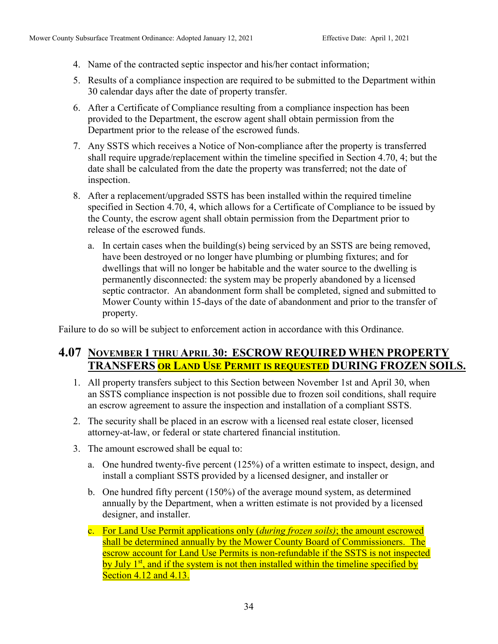- 4. Name of the contracted septic inspector and his/her contact information;
- 5. Results of a compliance inspection are required to be submitted to the Department within 30 calendar days after the date of property transfer.
- 6. After a Certificate of Compliance resulting from a compliance inspection has been provided to the Department, the escrow agent shall obtain permission from the Department prior to the release of the escrowed funds.
- 7. Any SSTS which receives a Notice of Non-compliance after the property is transferred shall require upgrade/replacement within the timeline specified in Section 4.70, 4; but the date shall be calculated from the date the property was transferred; not the date of inspection.
- 8. After a replacement/upgraded SSTS has been installed within the required timeline specified in Section 4.70, 4, which allows for a Certificate of Compliance to be issued by the County, the escrow agent shall obtain permission from the Department prior to release of the escrowed funds.
	- a. In certain cases when the building(s) being serviced by an SSTS are being removed, have been destroyed or no longer have plumbing or plumbing fixtures; and for dwellings that will no longer be habitable and the water source to the dwelling is permanently disconnected: the system may be properly abandoned by a licensed septic contractor. An abandonment form shall be completed, signed and submitted to Mower County within 15-days of the date of abandonment and prior to the transfer of property.

Failure to do so will be subject to enforcement action in accordance with this Ordinance.

### 4.07 NOVEMBER 1 THRU APRIL 30: ESCROW REQUIRED WHEN PROPERTY TRANSFERS OR LAND USE PERMIT IS REQUESTED DURING FROZEN SOILS.

- 1. All property transfers subject to this Section between November 1st and April 30, when an SSTS compliance inspection is not possible due to frozen soil conditions, shall require an escrow agreement to assure the inspection and installation of a compliant SSTS.
- 2. The security shall be placed in an escrow with a licensed real estate closer, licensed attorney-at-law, or federal or state chartered financial institution.
- 3. The amount escrowed shall be equal to:
	- a. One hundred twenty-five percent (125%) of a written estimate to inspect, design, and install a compliant SSTS provided by a licensed designer, and installer or
	- b. One hundred fifty percent (150%) of the average mound system, as determined annually by the Department, when a written estimate is not provided by a licensed designer, and installer.
	- c. For Land Use Permit applications only (*during frozen soils*); the amount escrowed shall be determined annually by the Mower County Board of Commissioners. The escrow account for Land Use Permits is non-refundable if the SSTS is not inspected by July  $1<sup>st</sup>$ , and if the system is not then installed within the timeline specified by Section 4.12 and 4.13.